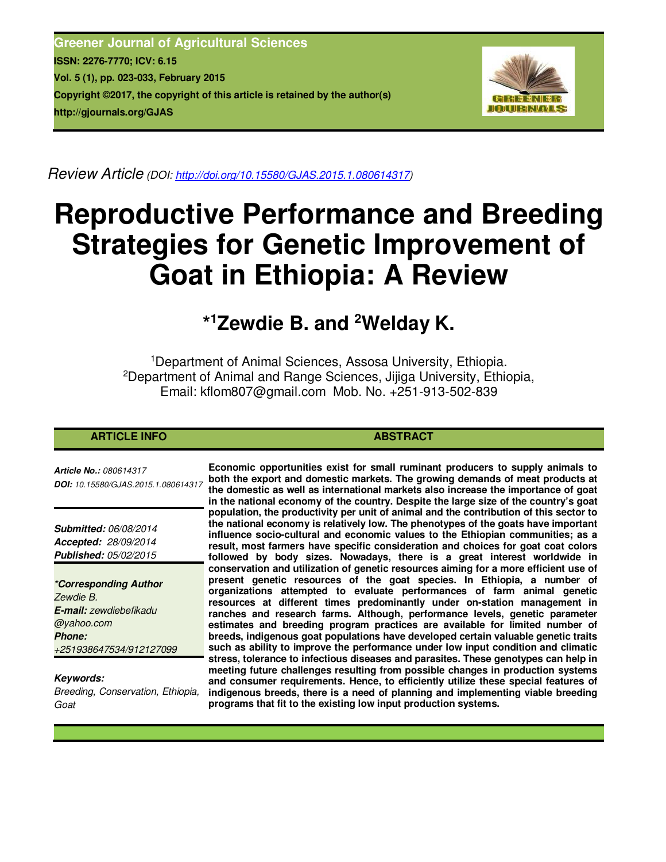**Greener Journal of Agricultural Sciences ISSN: 2276-7770; ICV: 6.15 Vol. 5 (1), pp. 023-033, February 2015 Copyright ©2017, the copyright of this article is retained by the author(s) http://gjournals.org/GJAS**



*Review Article (DOI: http://doi.org/10.15580/GJAS.2015.1.080614317)* 

# **Reproductive Performance and Breeding Strategies for Genetic Improvement of Goat in Ethiopia: A Review**

## **\* <sup>1</sup>Zewdie B. and <sup>2</sup>Welday K.**

<sup>1</sup>Department of Animal Sciences, Assosa University, Ethiopia. <sup>2</sup>Department of Animal and Range Sciences, Jijiga University, Ethiopia, Email: kflom807@gmail.com Mob. No. +251-913-502-839

#### **ARTICLE INFO ABSTRACT ABSTRACT**

*Article No.: 080614317 DOI: 10.15580/GJAS.2015.1.080614317*

*Submitted: 06/08/2014 Accepted: 28/09/2014 Published: 05/02/2015*

*\*Corresponding Author Zewdie B. E-mail: zewdiebefikadu @yahoo.com Phone: +251938647534/912127099*

*Keywords: Breeding, Conservation, Ethiopia, Goat*

**Economic opportunities exist for small ruminant producers to supply animals to both the export and domestic markets. The growing demands of meat products at the domestic as well as international markets also increase the importance of goat in the national economy of the country. Despite the large size of the country's goat population, the productivity per unit of animal and the contribution of this sector to the national economy is relatively low. The phenotypes of the goats have important influence socio-cultural and economic values to the Ethiopian communities; as a result, most farmers have specific consideration and choices for goat coat colors followed by body sizes. Nowadays, there is a great interest worldwide in conservation and utilization of genetic resources aiming for a more efficient use of present genetic resources of the goat species. In Ethiopia, a number of organizations attempted to evaluate performances of farm animal genetic resources at different times predominantly under on-station management in ranches and research farms. Although, performance levels, genetic parameter estimates and breeding program practices are available for limited number of breeds, indigenous goat populations have developed certain valuable genetic traits such as ability to improve the performance under low input condition and climatic stress, tolerance to infectious diseases and parasites. These genotypes can help in meeting future challenges resulting from possible changes in production systems and consumer requirements. Hence, to efficiently utilize these special features of indigenous breeds, there is a need of planning and implementing viable breeding programs that fit to the existing low input production systems.**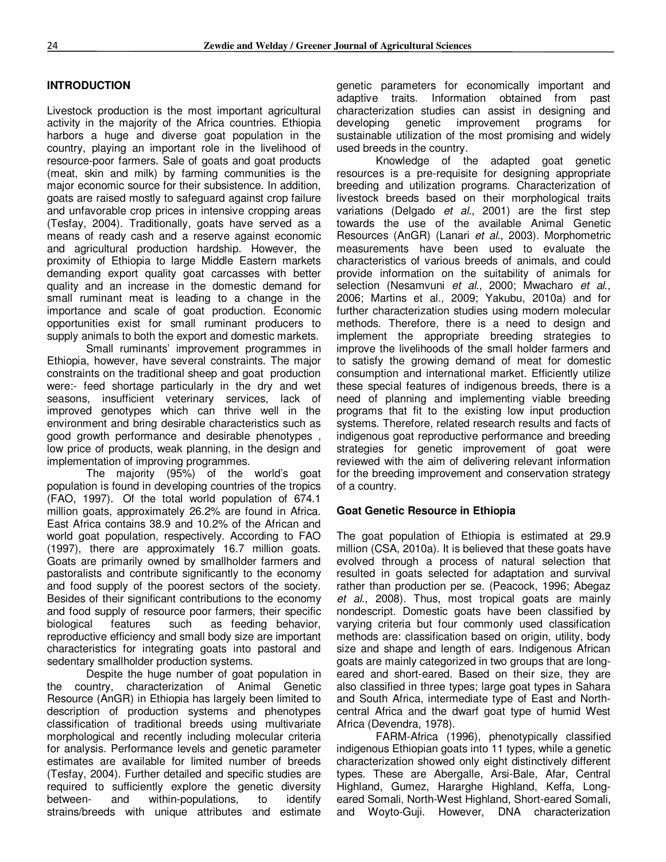#### **INTRODUCTION**

Livestock production is the most important agricultural activity in the majority of the Africa countries. Ethiopia harbors a huge and diverse goat population in the country, playing an important role in the livelihood of resource-poor farmers. Sale of goats and goat products (meat, skin and milk) by farming communities is the major economic source for their subsistence. In addition, goats are raised mostly to safeguard against crop failure and unfavorable crop prices in intensive cropping areas (Tesfay, 2004). Traditionally, goats have served as a means of ready cash and a reserve against economic and agricultural production hardship. However, the proximity of Ethiopia to large Middle Eastern markets demanding export quality goat carcasses with better quality and an increase in the domestic demand for small ruminant meat is leading to a change in the importance and scale of goat production. Economic opportunities exist for small ruminant producers to supply animals to both the export and domestic markets.

Small ruminants' improvement programmes in Ethiopia, however, have several constraints. The major constraints on the traditional sheep and goat production were:- feed shortage particularly in the dry and wet seasons, insufficient veterinary services, lack of improved genotypes which can thrive well in the environment and bring desirable characteristics such as good growth performance and desirable phenotypes , low price of products, weak planning, in the design and implementation of improving programmes.

The majority (95%) of the world's goat population is found in developing countries of the tropics (FAO, 1997). Of the total world population of 674.1 million goats, approximately 26.2% are found in Africa. East Africa contains 38.9 and 10.2% of the African and world goat population, respectively. According to FAO (1997), there are approximately 16.7 million goats. Goats are primarily owned by smallholder farmers and pastoralists and contribute significantly to the economy and food supply of the poorest sectors of the society. Besides of their significant contributions to the economy and food supply of resource poor farmers, their specific biological features such as feeding behavior, reproductive efficiency and small body size are important characteristics for integrating goats into pastoral and sedentary smallholder production systems.

Despite the huge number of goat population in the country, characterization of Animal Genetic Resource (AnGR) in Ethiopia has largely been limited to description of production systems and phenotypes classification of traditional breeds using multivariate morphological and recently including molecular criteria for analysis. Performance levels and genetic parameter estimates are available for limited number of breeds (Tesfay, 2004). Further detailed and specific studies are required to sufficiently explore the genetic diversity between- and within-populations, to identify strains/breeds with unique attributes and estimate genetic parameters for economically important and adaptive traits. Information obtained from past characterization studies can assist in designing and developing genetic improvement programs for sustainable utilization of the most promising and widely used breeds in the country.

Knowledge of the adapted goat genetic resources is a pre-requisite for designing appropriate breeding and utilization programs. Characterization of livestock breeds based on their morphological traits variations (Delgado *et al*., 2001) are the first step towards the use of the available Animal Genetic Resources (AnGR) (Lanari *et al*., 2003). Morphometric measurements have been used to evaluate the characteristics of various breeds of animals, and could provide information on the suitability of animals for selection (Nesamvuni *et al*., 2000; Mwacharo *et al*., 2006; Martins et al., 2009; Yakubu, 2010a) and for further characterization studies using modern molecular methods. Therefore, there is a need to design and implement the appropriate breeding strategies to improve the livelihoods of the small holder farmers and to satisfy the growing demand of meat for domestic consumption and international market. Efficiently utilize these special features of indigenous breeds, there is a need of planning and implementing viable breeding programs that fit to the existing low input production systems. Therefore, related research results and facts of indigenous goat reproductive performance and breeding strategies for genetic improvement of goat were reviewed with the aim of delivering relevant information for the breeding improvement and conservation strategy of a country.

#### **Goat Genetic Resource in Ethiopia**

The goat population of Ethiopia is estimated at 29.9 million (CSA, 2010a). It is believed that these goats have evolved through a process of natural selection that resulted in goats selected for adaptation and survival rather than production per se. (Peacock, 1996; Abegaz *et al*., 2008). Thus, most tropical goats are mainly nondescript. Domestic goats have been classified by varying criteria but four commonly used classification methods are: classification based on origin, utility, body size and shape and length of ears. Indigenous African goats are mainly categorized in two groups that are longeared and short-eared. Based on their size, they are also classified in three types; large goat types in Sahara and South Africa, intermediate type of East and Northcentral Africa and the dwarf goat type of humid West Africa (Devendra, 1978).

FARM-Africa (1996), phenotypically classified indigenous Ethiopian goats into 11 types, while a genetic characterization showed only eight distinctively different types. These are Abergalle, Arsi-Bale, Afar, Central Highland, Gumez, Hararghe Highland, Keffa, Longeared Somali, North-West Highland, Short-eared Somali, and Woyto-Guji. However, DNA characterization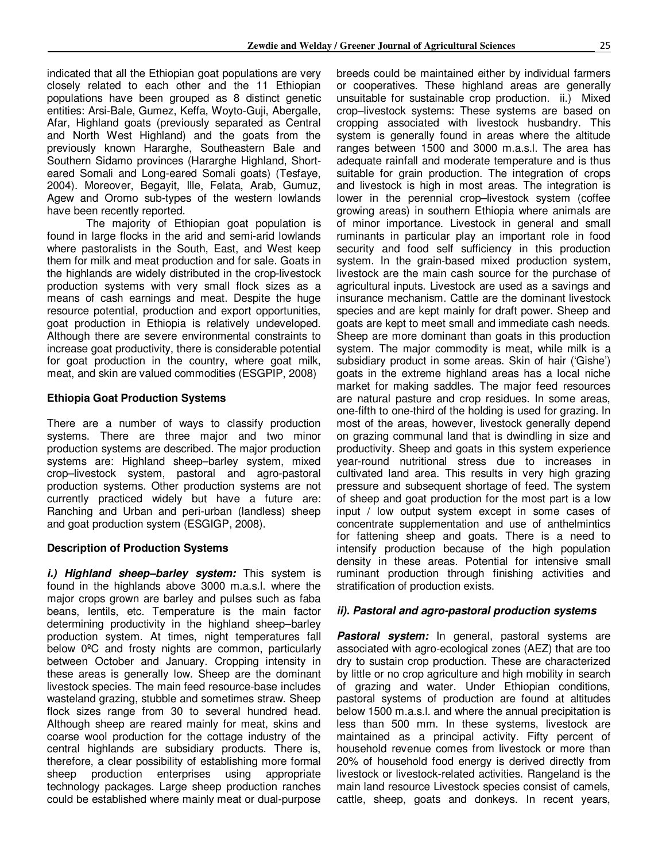indicated that all the Ethiopian goat populations are very closely related to each other and the 11 Ethiopian populations have been grouped as 8 distinct genetic entities: Arsi-Bale, Gumez, Keffa, Woyto-Guji, Abergalle, Afar, Highland goats (previously separated as Central and North West Highland) and the goats from the previously known Hararghe, Southeastern Bale and Southern Sidamo provinces (Hararghe Highland, Shorteared Somali and Long-eared Somali goats) (Tesfaye, 2004). Moreover, Begayit, Ille, Felata, Arab, Gumuz, Agew and Oromo sub-types of the western lowlands have been recently reported.

The majority of Ethiopian goat population is found in large flocks in the arid and semi-arid lowlands where pastoralists in the South, East, and West keep them for milk and meat production and for sale. Goats in the highlands are widely distributed in the crop-livestock production systems with very small flock sizes as a means of cash earnings and meat. Despite the huge resource potential, production and export opportunities, goat production in Ethiopia is relatively undeveloped. Although there are severe environmental constraints to increase goat productivity, there is considerable potential for goat production in the country, where goat milk, meat, and skin are valued commodities (ESGPIP, 2008)

#### **Ethiopia Goat Production Systems**

There are a number of ways to classify production systems. There are three major and two minor production systems are described. The major production systems are: Highland sheep–barley system, mixed crop–livestock system, pastoral and agro-pastoral production systems. Other production systems are not currently practiced widely but have a future are: Ranching and Urban and peri-urban (landless) sheep and goat production system (ESGIGP, 2008).

#### **Description of Production Systems**

*i.) Highland sheep–barley system:* This system is found in the highlands above 3000 m.a.s.l. where the major crops grown are barley and pulses such as faba beans, lentils, etc. Temperature is the main factor determining productivity in the highland sheep–barley production system. At times, night temperatures fall below 0ºC and frosty nights are common, particularly between October and January. Cropping intensity in these areas is generally low. Sheep are the dominant livestock species. The main feed resource-base includes wasteland grazing, stubble and sometimes straw. Sheep flock sizes range from 30 to several hundred head. Although sheep are reared mainly for meat, skins and coarse wool production for the cottage industry of the central highlands are subsidiary products. There is, therefore, a clear possibility of establishing more formal sheep production enterprises using appropriate technology packages. Large sheep production ranches could be established where mainly meat or dual-purpose breeds could be maintained either by individual farmers or cooperatives. These highland areas are generally unsuitable for sustainable crop production. ii.) Mixed crop–livestock systems: These systems are based on cropping associated with livestock husbandry. This system is generally found in areas where the altitude ranges between 1500 and 3000 m.a.s.l. The area has adequate rainfall and moderate temperature and is thus suitable for grain production. The integration of crops and livestock is high in most areas. The integration is lower in the perennial crop–livestock system (coffee growing areas) in southern Ethiopia where animals are of minor importance. Livestock in general and small ruminants in particular play an important role in food security and food self sufficiency in this production system. In the grain-based mixed production system, livestock are the main cash source for the purchase of agricultural inputs. Livestock are used as a savings and insurance mechanism. Cattle are the dominant livestock species and are kept mainly for draft power. Sheep and goats are kept to meet small and immediate cash needs. Sheep are more dominant than goats in this production system. The major commodity is meat, while milk is a subsidiary product in some areas. Skin of hair ('Gishe') goats in the extreme highland areas has a local niche market for making saddles. The major feed resources are natural pasture and crop residues. In some areas, one-fifth to one-third of the holding is used for grazing. In most of the areas, however, livestock generally depend on grazing communal land that is dwindling in size and productivity. Sheep and goats in this system experience year-round nutritional stress due to increases in cultivated land area. This results in very high grazing pressure and subsequent shortage of feed. The system of sheep and goat production for the most part is a low input / low output system except in some cases of concentrate supplementation and use of anthelmintics for fattening sheep and goats. There is a need to intensify production because of the high population density in these areas. Potential for intensive small ruminant production through finishing activities and stratification of production exists.

#### *ii). Pastoral and agro-pastoral production systems*

**Pastoral system:** In general, pastoral systems are associated with agro-ecological zones (AEZ) that are too dry to sustain crop production. These are characterized by little or no crop agriculture and high mobility in search of grazing and water. Under Ethiopian conditions, pastoral systems of production are found at altitudes below 1500 m.a.s.l. and where the annual precipitation is less than 500 mm. In these systems, livestock are maintained as a principal activity. Fifty percent of household revenue comes from livestock or more than 20% of household food energy is derived directly from livestock or livestock-related activities. Rangeland is the main land resource Livestock species consist of camels, cattle, sheep, goats and donkeys. In recent years,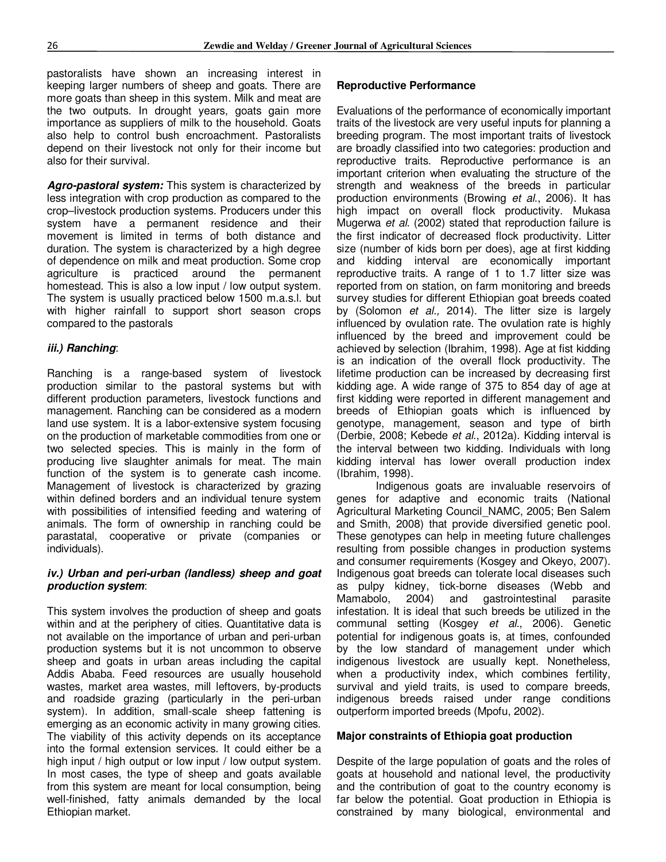pastoralists have shown an increasing interest in keeping larger numbers of sheep and goats. There are more goats than sheep in this system. Milk and meat are the two outputs. In drought years, goats gain more importance as suppliers of milk to the household. Goats also help to control bush encroachment. Pastoralists depend on their livestock not only for their income but also for their survival.

*Agro-pastoral system:* This system is characterized by less integration with crop production as compared to the crop–livestock production systems. Producers under this system have a permanent residence and their movement is limited in terms of both distance and duration. The system is characterized by a high degree of dependence on milk and meat production. Some crop agriculture is practiced around the permanent homestead. This is also a low input / low output system. The system is usually practiced below 1500 m.a.s.l. but with higher rainfall to support short season crops compared to the pastorals

#### *iii.) Ranching*:

Ranching is a range-based system of livestock production similar to the pastoral systems but with different production parameters, livestock functions and management. Ranching can be considered as a modern land use system. It is a labor-extensive system focusing on the production of marketable commodities from one or two selected species. This is mainly in the form of producing live slaughter animals for meat. The main function of the system is to generate cash income. Management of livestock is characterized by grazing within defined borders and an individual tenure system with possibilities of intensified feeding and watering of animals. The form of ownership in ranching could be parastatal, cooperative or private (companies or individuals).

#### *iv.) Urban and peri-urban (landless) sheep and goat production system*:

This system involves the production of sheep and goats within and at the periphery of cities. Quantitative data is not available on the importance of urban and peri-urban production systems but it is not uncommon to observe sheep and goats in urban areas including the capital Addis Ababa. Feed resources are usually household wastes, market area wastes, mill leftovers, by-products and roadside grazing (particularly in the peri-urban system). In addition, small-scale sheep fattening is emerging as an economic activity in many growing cities. The viability of this activity depends on its acceptance into the formal extension services. It could either be a high input / high output or low input / low output system. In most cases, the type of sheep and goats available from this system are meant for local consumption, being well-finished, fatty animals demanded by the local Ethiopian market.

#### **Reproductive Performance**

Evaluations of the performance of economically important traits of the livestock are very useful inputs for planning a breeding program. The most important traits of livestock are broadly classified into two categories: production and reproductive traits. Reproductive performance is an important criterion when evaluating the structure of the strength and weakness of the breeds in particular production environments (Browing *et al*., 2006). It has high impact on overall flock productivity. Mukasa Mugerwa *et al*. (2002) stated that reproduction failure is the first indicator of decreased flock productivity. Litter size (number of kids born per does), age at first kidding and kidding interval are economically important reproductive traits. A range of 1 to 1.7 litter size was reported from on station, on farm monitoring and breeds survey studies for different Ethiopian goat breeds coated by (Solomon *et al.,* 2014). The litter size is largely influenced by ovulation rate. The ovulation rate is highly influenced by the breed and improvement could be achieved by selection (Ibrahim, 1998). Age at fist kidding is an indication of the overall flock productivity. The lifetime production can be increased by decreasing first kidding age. A wide range of 375 to 854 day of age at first kidding were reported in different management and breeds of Ethiopian goats which is influenced by genotype, management, season and type of birth (Derbie, 2008; Kebede *et al*., 2012a). Kidding interval is the interval between two kidding. Individuals with long kidding interval has lower overall production index (Ibrahim, 1998).

Indigenous goats are invaluable reservoirs of genes for adaptive and economic traits (National Agricultural Marketing Council\_NAMC, 2005; Ben Salem and Smith, 2008) that provide diversified genetic pool. These genotypes can help in meeting future challenges resulting from possible changes in production systems and consumer requirements (Kosgey and Okeyo, 2007). Indigenous goat breeds can tolerate local diseases such as pulpy kidney, tick-borne diseases (Webb and Mamabolo, 2004) and gastrointestinal parasite infestation. It is ideal that such breeds be utilized in the communal setting (Kosgey *et al*., 2006). Genetic potential for indigenous goats is, at times, confounded by the low standard of management under which indigenous livestock are usually kept. Nonetheless, when a productivity index, which combines fertility, survival and yield traits, is used to compare breeds, indigenous breeds raised under range conditions outperform imported breeds (Mpofu, 2002).

#### **Major constraints of Ethiopia goat production**

Despite of the large population of goats and the roles of goats at household and national level, the productivity and the contribution of goat to the country economy is far below the potential. Goat production in Ethiopia is constrained by many biological, environmental and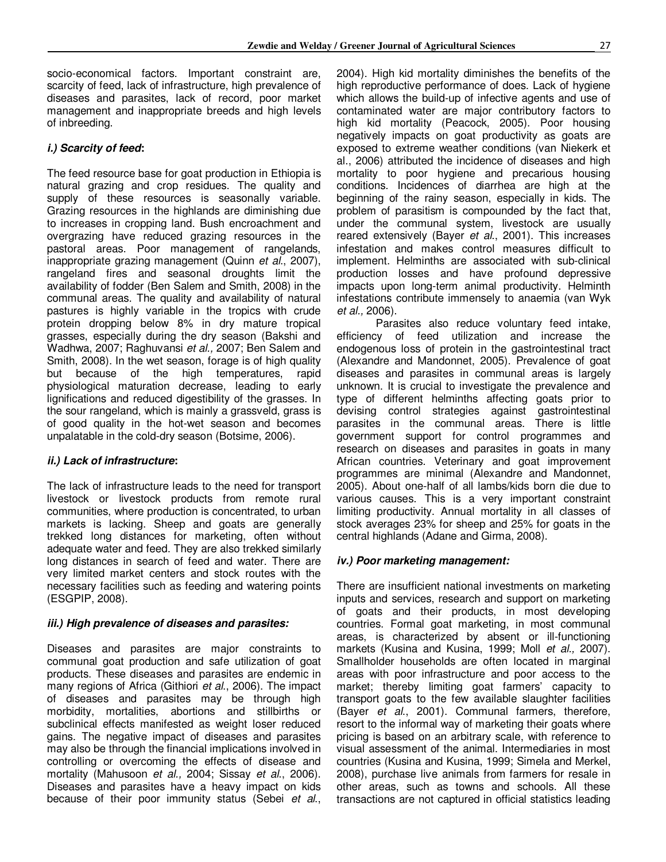socio-economical factors. Important constraint are, scarcity of feed, lack of infrastructure, high prevalence of diseases and parasites, lack of record, poor market management and inappropriate breeds and high levels of inbreeding.

#### *i.) Scarcity of feed***:**

The feed resource base for goat production in Ethiopia is natural grazing and crop residues. The quality and supply of these resources is seasonally variable. Grazing resources in the highlands are diminishing due to increases in cropping land. Bush encroachment and overgrazing have reduced grazing resources in the pastoral areas. Poor management of rangelands, inappropriate grazing management (Quinn *et al*., 2007), rangeland fires and seasonal droughts limit the availability of fodder (Ben Salem and Smith, 2008) in the communal areas. The quality and availability of natural pastures is highly variable in the tropics with crude protein dropping below 8% in dry mature tropical grasses, especially during the dry season (Bakshi and Wadhwa, 2007; Raghuvansi *et al.,* 2007; Ben Salem and Smith, 2008). In the wet season, forage is of high quality but because of the high temperatures, rapid physiological maturation decrease, leading to early lignifications and reduced digestibility of the grasses. In the sour rangeland, which is mainly a grassveld, grass is of good quality in the hot-wet season and becomes unpalatable in the cold-dry season (Botsime, 2006).

#### *ii.) Lack of infrastructure***:**

The lack of infrastructure leads to the need for transport livestock or livestock products from remote rural communities, where production is concentrated, to urban markets is lacking. Sheep and goats are generally trekked long distances for marketing, often without adequate water and feed. They are also trekked similarly long distances in search of feed and water. There are very limited market centers and stock routes with the necessary facilities such as feeding and watering points (ESGPIP, 2008).

#### *iii.) High prevalence of diseases and parasites:*

Diseases and parasites are major constraints to communal goat production and safe utilization of goat products. These diseases and parasites are endemic in many regions of Africa (Githiori *et al*., 2006). The impact of diseases and parasites may be through high morbidity, mortalities, abortions and stillbirths or subclinical effects manifested as weight loser reduced gains. The negative impact of diseases and parasites may also be through the financial implications involved in controlling or overcoming the effects of disease and mortality (Mahusoon *et al.,* 2004; Sissay *et al*., 2006). Diseases and parasites have a heavy impact on kids because of their poor immunity status (Sebei *et al*.,

2004). High kid mortality diminishes the benefits of the high reproductive performance of does. Lack of hygiene which allows the build-up of infective agents and use of contaminated water are major contributory factors to high kid mortality (Peacock, 2005). Poor housing negatively impacts on goat productivity as goats are exposed to extreme weather conditions (van Niekerk et al., 2006) attributed the incidence of diseases and high mortality to poor hygiene and precarious housing conditions. Incidences of diarrhea are high at the beginning of the rainy season, especially in kids. The problem of parasitism is compounded by the fact that, under the communal system, livestock are usually reared extensively (Bayer *et al*., 2001). This increases infestation and makes control measures difficult to implement. Helminths are associated with sub-clinical production losses and have profound depressive impacts upon long-term animal productivity. Helminth infestations contribute immensely to anaemia (van Wyk *et al.,* 2006).

Parasites also reduce voluntary feed intake, efficiency of feed utilization and increase the endogenous loss of protein in the gastrointestinal tract (Alexandre and Mandonnet, 2005). Prevalence of goat diseases and parasites in communal areas is largely unknown. It is crucial to investigate the prevalence and type of different helminths affecting goats prior to devising control strategies against gastrointestinal parasites in the communal areas. There is little government support for control programmes and research on diseases and parasites in goats in many African countries. Veterinary and goat improvement programmes are minimal (Alexandre and Mandonnet, 2005). About one-half of all lambs/kids born die due to various causes. This is a very important constraint limiting productivity. Annual mortality in all classes of stock averages 23% for sheep and 25% for goats in the central highlands (Adane and Girma, 2008).

#### *iv.) Poor marketing management:*

There are insufficient national investments on marketing inputs and services, research and support on marketing of goats and their products, in most developing countries. Formal goat marketing, in most communal areas, is characterized by absent or ill-functioning markets (Kusina and Kusina, 1999; Moll *et al.,* 2007). Smallholder households are often located in marginal areas with poor infrastructure and poor access to the market; thereby limiting goat farmers' capacity to transport goats to the few available slaughter facilities (Bayer *et al*., 2001). Communal farmers, therefore, resort to the informal way of marketing their goats where pricing is based on an arbitrary scale, with reference to visual assessment of the animal. Intermediaries in most countries (Kusina and Kusina, 1999; Simela and Merkel, 2008), purchase live animals from farmers for resale in other areas, such as towns and schools. All these transactions are not captured in official statistics leading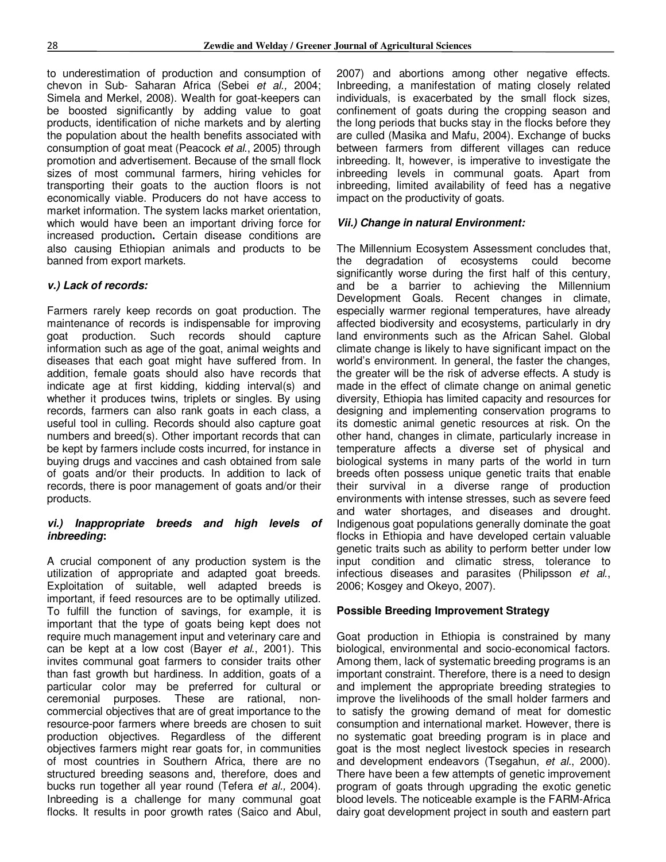to underestimation of production and consumption of chevon in Sub- Saharan Africa (Sebei *et al.,* 2004; Simela and Merkel, 2008). Wealth for goat-keepers can be boosted significantly by adding value to goat products, identification of niche markets and by alerting the population about the health benefits associated with consumption of goat meat (Peacock *et al*., 2005) through promotion and advertisement. Because of the small flock sizes of most communal farmers, hiring vehicles for transporting their goats to the auction floors is not economically viable. Producers do not have access to market information. The system lacks market orientation, which would have been an important driving force for increased production**.** Certain disease conditions are also causing Ethiopian animals and products to be banned from export markets.

### *v.) Lack of records:*

Farmers rarely keep records on goat production. The maintenance of records is indispensable for improving goat production. Such records should capture information such as age of the goat, animal weights and diseases that each goat might have suffered from. In addition, female goats should also have records that indicate age at first kidding, kidding interval(s) and whether it produces twins, triplets or singles. By using records, farmers can also rank goats in each class, a useful tool in culling. Records should also capture goat numbers and breed(s). Other important records that can be kept by farmers include costs incurred, for instance in buying drugs and vaccines and cash obtained from sale of goats and/or their products. In addition to lack of records, there is poor management of goats and/or their products.

#### *vi.) Inappropriate breeds and high levels of inbreeding***:**

A crucial component of any production system is the utilization of appropriate and adapted goat breeds. Exploitation of suitable, well adapted breeds is important, if feed resources are to be optimally utilized. To fulfill the function of savings, for example, it is important that the type of goats being kept does not require much management input and veterinary care and can be kept at a low cost (Bayer *et al*., 2001). This invites communal goat farmers to consider traits other than fast growth but hardiness. In addition, goats of a particular color may be preferred for cultural or ceremonial purposes. These are rational, noncommercial objectives that are of great importance to the resource-poor farmers where breeds are chosen to suit production objectives. Regardless of the different objectives farmers might rear goats for, in communities of most countries in Southern Africa, there are no structured breeding seasons and, therefore, does and bucks run together all year round (Tefera *et al.,* 2004). Inbreeding is a challenge for many communal goat flocks. It results in poor growth rates (Saico and Abul, 2007) and abortions among other negative effects. Inbreeding, a manifestation of mating closely related individuals, is exacerbated by the small flock sizes, confinement of goats during the cropping season and the long periods that bucks stay in the flocks before they are culled (Masika and Mafu, 2004). Exchange of bucks between farmers from different villages can reduce inbreeding. It, however, is imperative to investigate the inbreeding levels in communal goats. Apart from inbreeding, limited availability of feed has a negative impact on the productivity of goats.

### *Vii.) Change in natural Environment:*

The Millennium Ecosystem Assessment concludes that, the degradation of ecosystems could become significantly worse during the first half of this century, and be a barrier to achieving the Millennium Development Goals. Recent changes in climate, especially warmer regional temperatures, have already affected biodiversity and ecosystems, particularly in dry land environments such as the African Sahel. Global climate change is likely to have significant impact on the world's environment. In general, the faster the changes, the greater will be the risk of adverse effects. A study is made in the effect of climate change on animal genetic diversity, Ethiopia has limited capacity and resources for designing and implementing conservation programs to its domestic animal genetic resources at risk. On the other hand, changes in climate, particularly increase in temperature affects a diverse set of physical and biological systems in many parts of the world in turn breeds often possess unique genetic traits that enable their survival in a diverse range of production environments with intense stresses, such as severe feed and water shortages, and diseases and drought. Indigenous goat populations generally dominate the goat flocks in Ethiopia and have developed certain valuable genetic traits such as ability to perform better under low input condition and climatic stress, tolerance to infectious diseases and parasites (Philipsson *et al*., 2006; Kosgey and Okeyo, 2007).

#### **Possible Breeding Improvement Strategy**

Goat production in Ethiopia is constrained by many biological, environmental and socio-economical factors. Among them, lack of systematic breeding programs is an important constraint. Therefore, there is a need to design and implement the appropriate breeding strategies to improve the livelihoods of the small holder farmers and to satisfy the growing demand of meat for domestic consumption and international market. However, there is no systematic goat breeding program is in place and goat is the most neglect livestock species in research and development endeavors (Tsegahun, *et al*., 2000). There have been a few attempts of genetic improvement program of goats through upgrading the exotic genetic blood levels. The noticeable example is the FARM-Africa dairy goat development project in south and eastern part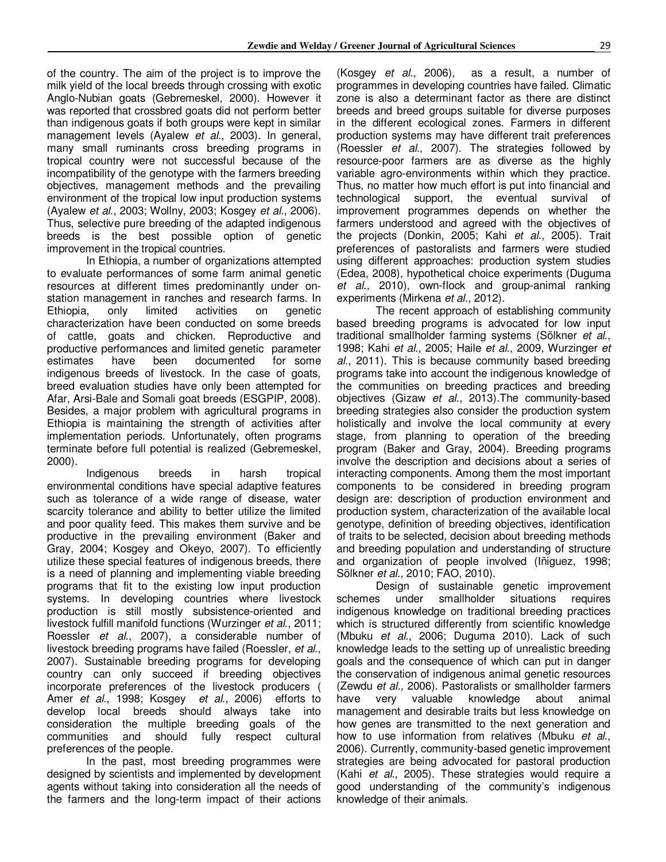of the country. The aim of the project is to improve the milk yield of the local breeds through crossing with exotic Anglo-Nubian goats (Gebremeskel, 2000). However it was reported that crossbred goats did not perform better than indigenous goats if both groups were kept in similar management levels (Ayalew *et al*., 2003). In general, many small ruminants cross breeding programs in tropical country were not successful because of the incompatibility of the genotype with the farmers breeding objectives, management methods and the prevailing environment of the tropical low input production systems (Ayalew *et al*., 2003; Wollny, 2003; Kosgey *et al*., 2006). Thus, selective pure breeding of the adapted indigenous breeds is the best possible option of genetic improvement in the tropical countries.

In Ethiopia, a number of organizations attempted to evaluate performances of some farm animal genetic resources at different times predominantly under onstation management in ranches and research farms. In Ethiopia, only limited activities on genetic characterization have been conducted on some breeds of cattle, goats and chicken. Reproductive and productive performances and limited genetic parameter estimates have been documented for some indigenous breeds of livestock. In the case of goats, breed evaluation studies have only been attempted for Afar, Arsi-Bale and Somali goat breeds (ESGPIP, 2008). Besides, a major problem with agricultural programs in Ethiopia is maintaining the strength of activities after implementation periods. Unfortunately, often programs terminate before full potential is realized (Gebremeskel, 2000).

Indigenous breeds in harsh tropical environmental conditions have special adaptive features such as tolerance of a wide range of disease, water scarcity tolerance and ability to better utilize the limited and poor quality feed. This makes them survive and be productive in the prevailing environment (Baker and Gray, 2004; Kosgey and Okeyo, 2007). To efficiently utilize these special features of indigenous breeds, there is a need of planning and implementing viable breeding programs that fit to the existing low input production systems. In developing countries where livestock production is still mostly subsistence-oriented and livestock fulfill manifold functions (Wurzinger *et al*., 2011; Roessler *et al*., 2007), a considerable number of livestock breeding programs have failed (Roessler, *et al*., 2007). Sustainable breeding programs for developing country can only succeed if breeding objectives incorporate preferences of the livestock producers ( Amer *et al*., 1998; Kosgey *et al*., 2006) efforts to develop local breeds should always take into consideration the multiple breeding goals of the communities and should fully respect cultural preferences of the people.

In the past, most breeding programmes were designed by scientists and implemented by development agents without taking into consideration all the needs of the farmers and the long-term impact of their actions (Kosgey *et al*., 2006), as a result, a number of programmes in developing countries have failed. Climatic zone is also a determinant factor as there are distinct breeds and breed groups suitable for diverse purposes in the different ecological zones. Farmers in different production systems may have different trait preferences (Roessler *et al*., 2007). The strategies followed by resource-poor farmers are as diverse as the highly variable agro-environments within which they practice. Thus, no matter how much effort is put into financial and technological support, the eventual survival of improvement programmes depends on whether the farmers understood and agreed with the objectives of the projects (Donkin, 2005; Kahi *et al*., 2005). Trait preferences of pastoralists and farmers were studied using different approaches: production system studies (Edea, 2008), hypothetical choice experiments (Duguma *et al.,* 2010), own-flock and group-animal ranking experiments (Mirkena *et al.,* 2012).

The recent approach of establishing community based breeding programs is advocated for low input traditional smallholder farming systems (Sölkner *et al*., 1998; Kahi *et al*., 2005; Haile *et al*., 2009, Wurzinger *et al*., 2011). This is because community based breeding programs take into account the indigenous knowledge of the communities on breeding practices and breeding objectives (Gizaw *et al*., 2013).The community-based breeding strategies also consider the production system holistically and involve the local community at every stage, from planning to operation of the breeding program (Baker and Gray, 2004). Breeding programs involve the description and decisions about a series of interacting components. Among them the most important components to be considered in breeding program design are: description of production environment and production system, characterization of the available local genotype, definition of breeding objectives, identification of traits to be selected, decision about breeding methods and breeding population and understanding of structure and organization of people involved (Iñiguez, 1998; Sölkner *et al.,* 2010; FAO, 2010).

Design of sustainable genetic improvement schemes under smallholder situations requires indigenous knowledge on traditional breeding practices which is structured differently from scientific knowledge (Mbuku *et al*., 2006; Duguma 2010). Lack of such knowledge leads to the setting up of unrealistic breeding goals and the consequence of which can put in danger the conservation of indigenous animal genetic resources (Zewdu *et al.,* 2006). Pastoralists or smallholder farmers have very valuable knowledge about animal management and desirable traits but less knowledge on how genes are transmitted to the next generation and how to use information from relatives (Mbuku *et al.*, 2006). Currently, community-based genetic improvement strategies are being advocated for pastoral production (Kahi *et al*., 2005). These strategies would require a good understanding of the community's indigenous knowledge of their animals.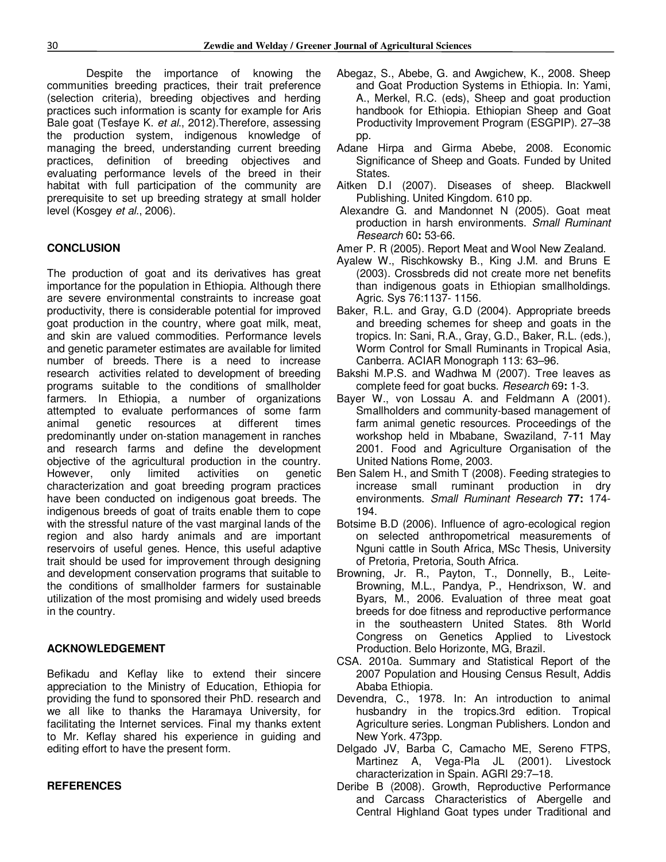Despite the importance of knowing the communities breeding practices, their trait preference (selection criteria), breeding objectives and herding practices such information is scanty for example for Aris Bale goat (Tesfaye K. *et al*., 2012).Therefore, assessing the production system, indigenous knowledge of managing the breed, understanding current breeding practices, definition of breeding objectives and evaluating performance levels of the breed in their habitat with full participation of the community are prerequisite to set up breeding strategy at small holder level (Kosgey *et al.*, 2006).

#### **CONCLUSION**

The production of goat and its derivatives has great importance for the population in Ethiopia. Although there are severe environmental constraints to increase goat productivity, there is considerable potential for improved goat production in the country, where goat milk, meat, and skin are valued commodities. Performance levels and genetic parameter estimates are available for limited number of breeds. There is a need to increase research activities related to development of breeding programs suitable to the conditions of smallholder farmers. In Ethiopia, a number of organizations attempted to evaluate performances of some farm animal genetic resources at different times predominantly under on-station management in ranches and research farms and define the development objective of the agricultural production in the country. However, only limited activities on genetic characterization and goat breeding program practices have been conducted on indigenous goat breeds. The indigenous breeds of goat of traits enable them to cope with the stressful nature of the vast marginal lands of the region and also hardy animals and are important reservoirs of useful genes. Hence, this useful adaptive trait should be used for improvement through designing and development conservation programs that suitable to the conditions of smallholder farmers for sustainable utilization of the most promising and widely used breeds in the country.

#### **ACKNOWLEDGEMENT**

Befikadu and Keflay like to extend their sincere appreciation to the Ministry of Education, Ethiopia for providing the fund to sponsored their PhD. research and we all like to thanks the Haramaya University, for facilitating the Internet services. Final my thanks extent to Mr. Keflay shared his experience in guiding and editing effort to have the present form.

#### **REFERENCES**

- Abegaz, S., Abebe, G. and Awgichew, K., 2008. Sheep and Goat Production Systems in Ethiopia. In: Yami, A., Merkel, R.C. (eds), Sheep and goat production handbook for Ethiopia. Ethiopian Sheep and Goat Productivity Improvement Program (ESGPIP). 27–38 pp.
- Adane Hirpa and Girma Abebe, 2008. Economic Significance of Sheep and Goats. Funded by United States.
- Aitken D.I (2007). Diseases of sheep. Blackwell Publishing. United Kingdom. 610 pp.
- Alexandre G. and Mandonnet N (2005). Goat meat production in harsh environments. *Small Ruminant Research* 60**:** 53-66.
- Amer P. R (2005). Report Meat and Wool New Zealand.
- Ayalew W., Rischkowsky B., King J.M. and Bruns E (2003). Crossbreds did not create more net benefits than indigenous goats in Ethiopian smallholdings. Agric. Sys 76:1137- 1156.
- Baker, R.L. and Gray, G.D (2004). Appropriate breeds and breeding schemes for sheep and goats in the tropics. In: Sani, R.A., Gray, G.D., Baker, R.L. (eds.), Worm Control for Small Ruminants in Tropical Asia, Canberra. ACIAR Monograph 113: 63–96.
- Bakshi M.P.S. and Wadhwa M (2007). Tree leaves as complete feed for goat bucks. *Research* 69**:** 1-3.
- Bayer W., von Lossau A. and Feldmann A (2001). Smallholders and community-based management of farm animal genetic resources. Proceedings of the workshop held in Mbabane, Swaziland, 7-11 May 2001. Food and Agriculture Organisation of the United Nations Rome, 2003.
- Ben Salem H., and Smith T (2008). Feeding strategies to increase small ruminant production in dry environments. *Small Ruminant Research* **77:** 174- 194.
- Botsime B.D (2006). Influence of agro-ecological region on selected anthropometrical measurements of Nguni cattle in South Africa, MSc Thesis, University of Pretoria, Pretoria, South Africa.
- Browning, Jr. R., Payton, T., Donnelly, B., Leite-Browning, M.L., Pandya, P., Hendrixson, W. and Byars, M., 2006. Evaluation of three meat goat breeds for doe fitness and reproductive performance in the southeastern United States. 8th World Congress on Genetics Applied to Livestock Production. Belo Horizonte, MG, Brazil.
- CSA. 2010a. Summary and Statistical Report of the 2007 Population and Housing Census Result, Addis Ababa Ethiopia.
- Devendra, C., 1978. In: An introduction to animal husbandry in the tropics.3rd edition. Tropical Agriculture series. Longman Publishers. London and New York. 473pp.
- Delgado JV, Barba C, Camacho ME, Sereno FTPS, Martinez A, Vega-Pla JL (2001). Livestock characterization in Spain. AGRI 29:7–18.
- Deribe B (2008). Growth, Reproductive Performance and Carcass Characteristics of Abergelle and Central Highland Goat types under Traditional and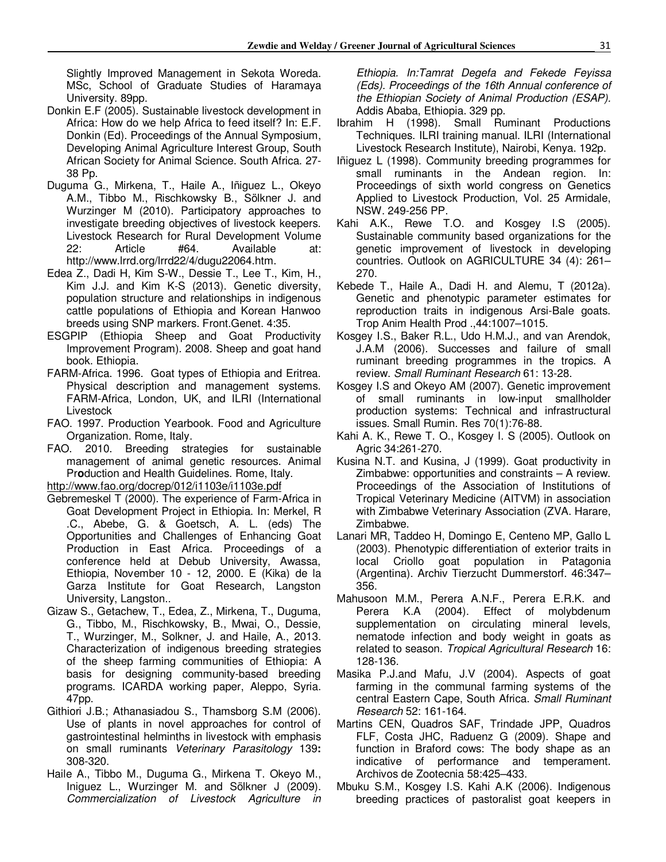Slightly Improved Management in Sekota Woreda. MSc, School of Graduate Studies of Haramaya University. 89pp.

- Donkin E.F (2005). Sustainable livestock development in Africa: How do we help Africa to feed itself? In: E.F. Donkin (Ed). Proceedings of the Annual Symposium, Developing Animal Agriculture Interest Group, South African Society for Animal Science. South Africa. 27- 38 Pp.
- Duguma G., Mirkena, T., Haile A., Iñiguez L., Okeyo A.M., Tibbo M., Rischkowsky B., Sölkner J. and Wurzinger M (2010). Participatory approaches to investigate breeding objectives of livestock keepers. Livestock Research for Rural Development Volume 22: Article #64. Available at: http://www.lrrd.org/lrrd22/4/dugu22064.htm.
- Edea Z., Dadi H, Kim S-W., Dessie T., Lee T., Kim, H., Kim J.J. and Kim K-S (2013). Genetic diversity, population structure and relationships in indigenous cattle populations of Ethiopia and Korean Hanwoo breeds using SNP markers. Front.Genet. 4:35.
- ESGPIP (Ethiopia Sheep and Goat Productivity Improvement Program). 2008. Sheep and goat hand book. Ethiopia.
- FARM-Africa. 1996. Goat types of Ethiopia and Eritrea. Physical description and management systems. FARM-Africa, London, UK, and ILRI (International **Livestock**
- FAO. 1997. Production Yearbook. Food and Agriculture Organization. Rome, Italy.
- FAO. 2010. Breeding strategies for sustainable management of animal genetic resources. Animal Pr**o**duction and Health Guidelines. Rome, Italy.

http://www.fao.org/docrep/012/i1103e/i1103e.pdf

- Gebremeskel T (2000). The experience of Farm-Africa in Goat Development Project in Ethiopia. In: Merkel, R .C., Abebe, G. & Goetsch, A. L. (eds) The Opportunities and Challenges of Enhancing Goat Production in East Africa. Proceedings of a conference held at Debub University, Awassa, Ethiopia, November 10 - 12, 2000. E (Kika) de la Garza Institute for Goat Research, Langston University, Langston..
- Gizaw S., Getachew, T., Edea, Z., Mirkena, T., Duguma, G., Tibbo, M., Rischkowsky, B., Mwai, O., Dessie, T., Wurzinger, M., Solkner, J. and Haile, A., 2013. Characterization of indigenous breeding strategies of the sheep farming communities of Ethiopia: A basis for designing community-based breeding programs. ICARDA working paper, Aleppo, Syria. 47pp.
- Githiori J.B.; Athanasiadou S., Thamsborg S.M (2006). Use of plants in novel approaches for control of gastrointestinal helminths in livestock with emphasis on small ruminants *Veterinary Parasitology* 139**:**  308-320.
- Haile A., Tibbo M., Duguma G., Mirkena T. Okeyo M., Iniguez L., Wurzinger M. and Sölkner J (2009). *Commercialization of Livestock Agriculture in*

*Ethiopia. In:Tamrat Degefa and Fekede Feyissa (Eds). Proceedings of the 16th Annual conference of the Ethiopian Society of Animal Production (ESAP).* Addis Ababa, Ethiopia. 329 pp.

- Ibrahim H (1998). Small Ruminant Productions Techniques. ILRI training manual. ILRI (International Livestock Research Institute), Nairobi, Kenya. 192p.
- Iñiguez L (1998). Community breeding programmes for small ruminants in the Andean region. In: Proceedings of sixth world congress on Genetics Applied to Livestock Production, Vol. 25 Armidale, NSW. 249-256 PP.
- Kahi A.K., Rewe T.O. and Kosgey I.S (2005). Sustainable community based organizations for the genetic improvement of livestock in developing countries. Outlook on AGRICULTURE 34 (4): 261– 270.
- Kebede T., Haile A., Dadi H. and Alemu, T (2012a). Genetic and phenotypic parameter estimates for reproduction traits in indigenous Arsi-Bale goats. Trop Anim Health Prod .,44:1007–1015.
- Kosgey I.S., Baker R.L., Udo H.M.J., and van Arendok, J.A.M (2006). Successes and failure of small ruminant breeding programmes in the tropics. A review. *Small Ruminant Research* 61: 13-28.
- Kosgey I.S and Okeyo AM (2007). Genetic improvement of small ruminants in low-input smallholder production systems: Technical and infrastructural issues. Small Rumin. Res 70(1):76-88.
- Kahi A. K., Rewe T. O., Kosgey I. S (2005). Outlook on Agric 34:261-270.
- Kusina N.T. and Kusina, J (1999). Goat productivity in Zimbabwe: opportunities and constraints – A review. Proceedings of the Association of Institutions of Tropical Veterinary Medicine (AITVM) in association with Zimbabwe Veterinary Association (ZVA. Harare, Zimbabwe.
- Lanari MR, Taddeo H, Domingo E, Centeno MP, Gallo L (2003). Phenotypic differentiation of exterior traits in local Criollo goat population in Patagonia (Argentina). Archiv Tierzucht Dummerstorf. 46:347– 356.
- Mahusoon M.M., Perera A.N.F., Perera E.R.K. and Perera K.A (2004). Effect of molybdenum supplementation on circulating mineral levels, nematode infection and body weight in goats as related to season. *Tropical Agricultural Research* 16: 128-136.
- Masika P.J.and Mafu, J.V (2004). Aspects of goat farming in the communal farming systems of the central Eastern Cape, South Africa. *Small Ruminant Research* 52: 161-164.
- Martins CEN, Quadros SAF, Trindade JPP, Quadros FLF, Costa JHC, Raduenz G (2009). Shape and function in Braford cows: The body shape as an indicative of performance and temperament. Archivos de Zootecnia 58:425–433.
- Mbuku S.M., Kosgey I.S. Kahi A.K (2006). Indigenous breeding practices of pastoralist goat keepers in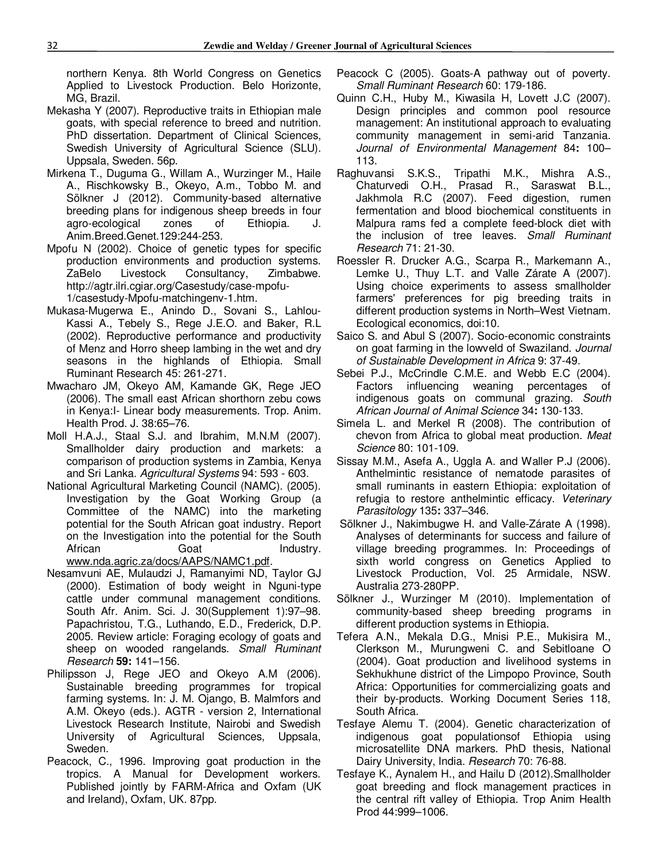northern Kenya. 8th World Congress on Genetics Applied to Livestock Production. Belo Horizonte, MG, Brazil.

- Mekasha Y (2007). Reproductive traits in Ethiopian male goats, with special reference to breed and nutrition. PhD dissertation. Department of Clinical Sciences, Swedish University of Agricultural Science (SLU). Uppsala, Sweden. 56p.
- Mirkena T., Duguma G., Willam A., Wurzinger M., Haile A., Rischkowsky B., Okeyo, A.m., Tobbo M. and Sölkner J (2012). Community-based alternative breeding plans for indigenous sheep breeds in four agro-ecological zones of Ethiopia. J. Anim.Breed.Genet.129:244-253.
- Mpofu N (2002). Choice of genetic types for specific production environments and production systems. ZaBelo Livestock Consultancy, Zimbabwe. http://agtr.ilri.cgiar.org/Casestudy/case-mpofu-1/casestudy-Mpofu-matchingenv-1.htm.
- Mukasa-Mugerwa E., Anindo D., Sovani S., Lahlou-Kassi A., Tebely S., Rege J.E.O. and Baker, R.L (2002). Reproductive performance and productivity of Menz and Horro sheep lambing in the wet and dry seasons in the highlands of Ethiopia. Small Ruminant Research 45: 261-271.
- Mwacharo JM, Okeyo AM, Kamande GK, Rege JEO (2006). The small east African shorthorn zebu cows in Kenya:I- Linear body measurements. Trop. Anim. Health Prod. J. 38:65–76.
- Moll H.A.J., Staal S.J. and Ibrahim, M.N.M (2007). Smallholder dairy production and markets: a comparison of production systems in Zambia, Kenya and Sri Lanka. *Agricultural Systems* 94: 593 - 603.
- National Agricultural Marketing Council (NAMC). (2005). Investigation by the Goat Working Group (a Committee of the NAMC) into the marketing potential for the South African goat industry. Report on the Investigation into the potential for the South African Goat Industry. www.nda.agric.za/docs/AAPS/NAMC1.pdf.
- Nesamvuni AE, Mulaudzi J, Ramanyimi ND, Taylor GJ (2000). Estimation of body weight in Nguni-type cattle under communal management conditions. South Afr. Anim. Sci. J. 30(Supplement 1):97–98. Papachristou, T.G., Luthando, E.D., Frederick, D.P. 2005. Review article: Foraging ecology of goats and sheep on wooded rangelands. *Small Ruminant Research* **59:** 141–156.
- Philipsson J, Rege JEO and Okeyo A.M (2006). Sustainable breeding programmes for tropical farming systems. In: J. M. Ojango, B. Malmfors and A.M. Okeyo (eds.). AGTR - version 2, International Livestock Research Institute, Nairobi and Swedish University of Agricultural Sciences, Uppsala, Sweden.
- Peacock, C., 1996. Improving goat production in the tropics. A Manual for Development workers. Published jointly by FARM-Africa and Oxfam (UK and Ireland), Oxfam, UK. 87pp.
- Peacock C (2005). Goats-A pathway out of poverty. *Small Ruminant Research* 60: 179-186.
- Quinn C.H., Huby M., Kiwasila H, Lovett J.C (2007). Design principles and common pool resource management: An institutional approach to evaluating community management in semi-arid Tanzania. *Journal of Environmental Management* 84**:** 100– 113.
- Raghuvansi S.K.S., Tripathi M.K., Mishra A.S., Chaturvedi O.H., Prasad R., Saraswat B.L., Jakhmola R.C (2007). Feed digestion, rumen fermentation and blood biochemical constituents in Malpura rams fed a complete feed-block diet with the inclusion of tree leaves. *Small Ruminant Research* 71: 21-30.
- Roessler R. Drucker A.G., Scarpa R., Markemann A., Lemke U., Thuy L.T. and Valle Zárate A (2007). Using choice experiments to assess smallholder farmers' preferences for pig breeding traits in different production systems in North–West Vietnam. Ecological economics, doi:10.
- Saico S. and Abul S (2007). Socio-economic constraints on goat farming in the lowveld of Swaziland. *Journal of Sustainable Development in Africa* 9: 37-49.
- Sebei P.J., McCrindle C.M.E. and Webb E.C (2004). Factors influencing weaning percentages of indigenous goats on communal grazing. *South African Journal of Animal Science* 34**:** 130-133.
- Simela L. and Merkel R (2008). The contribution of chevon from Africa to global meat production. *Meat Science* 80: 101-109.
- Sissay M.M., Asefa A., Uggla A. and Waller P.J (2006). Anthelmintic resistance of nematode parasites of small ruminants in eastern Ethiopia: exploitation of refugia to restore anthelmintic efficacy. *Veterinary Parasitology* 135**:** 337–346.
- Sölkner J., Nakimbugwe H. and Valle-Zárate A (1998). Analyses of determinants for success and failure of village breeding programmes. In: Proceedings of sixth world congress on Genetics Applied to Livestock Production, Vol. 25 Armidale, NSW. Australia 273-280PP.
- Sölkner J., Wurzinger M (2010). Implementation of community-based sheep breeding programs in different production systems in Ethiopia.
- Tefera A.N., Mekala D.G., Mnisi P.E., Mukisira M., Clerkson M., Murungweni C. and Sebitloane O (2004). Goat production and livelihood systems in Sekhukhune district of the Limpopo Province, South Africa: Opportunities for commercializing goats and their by-products. Working Document Series 118, South Africa.
- Tesfaye Alemu T. (2004). Genetic characterization of indigenous goat populationsof Ethiopia using microsatellite DNA markers. PhD thesis, National Dairy University, India. *Research* 70: 76-88.
- Tesfaye K., Aynalem H., and Hailu D (2012).Smallholder goat breeding and flock management practices in the central rift valley of Ethiopia. Trop Anim Health Prod 44:999–1006.